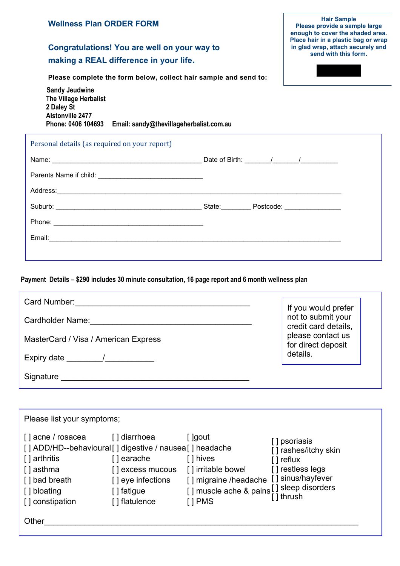| <b>Wellness Plan ORDER FORM</b><br><b>Congratulations! You are well on your way to</b><br>making a REAL difference in your life.                                                                                                                                      | <b>Hair Sample</b><br>Please provide a sample large<br>enough to cover the shaded area.<br>Place hair in a plastic bag or wrap<br>in glad wrap, attach securely and<br>send with this form. |
|-----------------------------------------------------------------------------------------------------------------------------------------------------------------------------------------------------------------------------------------------------------------------|---------------------------------------------------------------------------------------------------------------------------------------------------------------------------------------------|
| Please complete the form below, collect hair sample and send to:                                                                                                                                                                                                      |                                                                                                                                                                                             |
| <b>Sandy Jeudwine</b><br>The Village Herbalist<br>2 Daley St<br><b>Alstonville 2477</b><br>Phone: 0406 104693<br>Email: sandy@thevillageherbalist.com.au                                                                                                              |                                                                                                                                                                                             |
| Personal details (as required on your report)                                                                                                                                                                                                                         |                                                                                                                                                                                             |
|                                                                                                                                                                                                                                                                       |                                                                                                                                                                                             |
|                                                                                                                                                                                                                                                                       |                                                                                                                                                                                             |
|                                                                                                                                                                                                                                                                       |                                                                                                                                                                                             |
|                                                                                                                                                                                                                                                                       |                                                                                                                                                                                             |
|                                                                                                                                                                                                                                                                       |                                                                                                                                                                                             |
|                                                                                                                                                                                                                                                                       |                                                                                                                                                                                             |
|                                                                                                                                                                                                                                                                       |                                                                                                                                                                                             |
| Payment Details - \$290 includes 30 minute consultation, 16 page report and 6 month wellness plan<br>Card Number: <u>__________________________</u><br>Cardholder Name: William Cardholder Name:<br>MasterCard / Visa / American Express<br>Expiry date $\frac{1}{2}$ | If you would prefer<br>not to submit your<br>credit card details,<br>please contact us<br>for direct deposit<br>details.                                                                    |
| Signature Signature Signature Signature Signature Signature Signature Signature Signature Signature Signature Signature Signature Signature Signature Signature Signature Signature Signature Signature Signature Signature Si                                        |                                                                                                                                                                                             |
|                                                                                                                                                                                                                                                                       |                                                                                                                                                                                             |
|                                                                                                                                                                                                                                                                       |                                                                                                                                                                                             |
| Please list your symptoms;                                                                                                                                                                                                                                            |                                                                                                                                                                                             |
| [] acne / rosacea [] diarrhoea<br>[ ]gout<br>[] ADD/HD--behavioural [] digestive / nausea [] headache                                                                                                                                                                 | [ ] psoriasis<br>[] rashes/itchy skin                                                                                                                                                       |

|                 |                   |                                                        | <b>TT</b> rashes/itchy skin |
|-----------------|-------------------|--------------------------------------------------------|-----------------------------|
| [ ] arthritis   | learache          | [ ] hives                                              | $\lceil$   reflux           |
| [ ] asthma      | [] excess mucous  | [] irritable bowel                                     | [] restless legs            |
| [] bad breath   | [] eye infections | [] migraine /headache                                  | [] sinus/hayfever           |
| [ ] bloating    | [ ] fatigue       | [] muscle ache & pains [] sleep disorders<br>[] thrush |                             |
| [] constipation | [] flatulence     | [1PMS                                                  |                             |
|                 |                   |                                                        |                             |

Other\_\_\_\_\_\_\_\_\_\_\_\_\_\_\_\_\_\_\_\_\_\_\_\_\_\_\_\_\_\_\_\_\_\_\_\_\_\_\_\_\_\_\_\_\_\_\_\_\_\_\_\_\_\_\_\_\_\_\_\_\_\_\_\_\_\_\_\_\_\_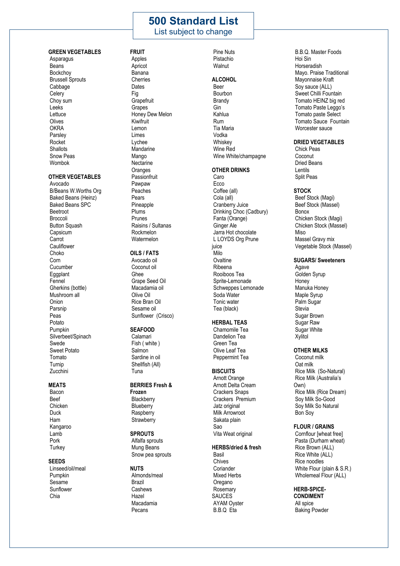### **500 Standard List**

#### List subject to change

#### **GREEN VEGETABLES**

**Asparagus**  Beans Bockchoy Brussell Sprouts Cabbage **Celery**  Choy sum Leeks Lettuce Olives **OKRA**  Parsley Rocket **Shallots**  Snow Peas Wombok

#### **OTHER VEGETABLES**

 Avocado B/Beans W.Worths Org Baked Beans (Heinz) Baked Beans SPC Beetroot **Broccoli**  Button Squash **Capsicum**  Carrot **Cauliflower**  Choko Corn **Cucumber**  Eggplant Fennel Gherkins (bottle) Mushroom all Onion Parsnip Peas Potato Pumpkin Silverbeet/Spinach Swede Sweet Potato Tomato Turnip Zucchini

#### **MEATS**

 Bacon Beef **Chicken**  Duck Ham Kangaroo Lamb Pork **Turkey** 

#### **SEEDS**

 Linseed/oil/meal Pumpkin Sesame Sunflower Chia

#### **FRUIT** Apples

 Apricot Banana Cherries **Dates**  Fig **Grapefruit**  Grapes Honey Dew Melon Kiwifruit Lemon Limes Lychee **Mandarine**  Mango **Nectarine Oranges Passionfruit**  Pawpaw Peaches Pears Pineapple Plums Prunes Raisins / Sultanas Rockmelon Watermelon

#### **OILS / FATS**

 Avocado oil Coconut oil Ghee Grape Seed Oil Macadamia oil Olive Oil Rice Bran Oil Sesame oil Sunflower (Crisco)

#### **SEAFOOD**

 Calamari Fish ( white ) **Salmon**  Sardine in oil Shellfish (All) Tuna

#### **BERRIES Fresh &**

**Frozen Blackberry Blueberry Raspberry Strawberry** 

#### **SPROUTS**

 Alfalfa sprouts Mung Beans Snow pea sprouts

#### **NUTS**

 Almonds/meal Brazil Cashews Hazel Macadamia Pecans

 Pine Nuts Pistachio **Walnut** 

#### **ALCOHOL**

 Beer Bourbon Brandy Gin Kahlua Rum Tia Maria Vodka Whiskey Wine Red Wine White/champagne

#### **OTHER DRINKS**

 Caro **Ecco**  Coffee (all) Cola (all) Cranberry Juice Drinking Choc (Cadbury) Fanta (Orange) Ginger Ale Jarra Hot chocolate L LOYDS Org Prune juice Milo **Ovaltine**  Ribeena Rooiboos Tea Sprite-Lemonade Schweppes Lemonade Soda Water Tonic water Tea (black)

#### **HERBAL TEAS**

 Chamomile Tea Dandelion Tea Green Tea Olive Leaf Tea Peppermint Tea

#### **BISCUITS**

 Arnott Orange Arnott Delta Cream Crackers Snaps Crackers Premium Jatz original Milk Arrowroot Sakata plain Sao Vita Weat original

#### **HERBS/dried & fresh**

 Basil Chives Coriander Mixed Herbs Oregano **Rosemary** SAUCES AYAM Oyster B.B.Q Eta

 B.B.Q. Master Foods Hoi Sin Horseradish Mayo. Praise Traditional Mayonnaise Kraft Soy sauce (ALL) Sweet Chilli Fountain Tomato HEINZ big red Tomato Paste Leggo's Tomato paste Select Tomato Sauce Fountain Worcester sauce

#### **DRIED VEGETABLES**

 Chick Peas Coconut Dried Beans Lentils Split Peas

#### **STOCK**

 Beef Stock (Magi) Beef Stock (Massel) Bonox Chicken Stock (Magi) Chicken Stock (Massel) Miso Massel Gravy mix Vegetable Stock (Massel)

#### **SUGARS/ Sweeteners**

 Agave Golden Syrup Honey Manuka Honey Maple Syrup Palm Sugar **Stevia**  Sugar Brown Sugar Raw Sugar White Xylitol

#### **OTHER MILKS**

 Coconut milk Oat milk Rice Milk (So-Natural) Rice Milk (Australia's Own) Rice Milk (Rice Dream) Soy Milk So-Good Soy Milk So Natural Bon Soy

#### **FLOUR / GRAINS**

 Cornflour [wheat free] Pasta (Durham wheat) Rice Brown (ALL) Rice White (ALL) Rice noodles White Flour (plain & S.R.) Wholemeal Flour (ALL)

#### **HERB-SPICE-**

**CONDIMENT** All spice Baking Powder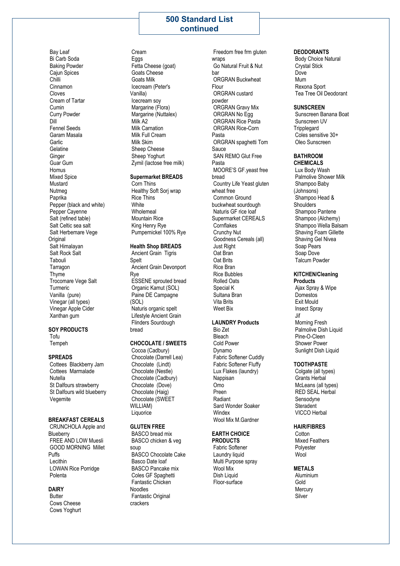#### **500 Standard List continued**

 Bay Leaf Bi Carb Soda Baking Powder Cajun Spices Chilli Cinnamon Cloves Cream of Tartar Cumin Curry Powder Dill Fennel Seeds Garam Masala **Garlic Gelatine Ginger**  Guar Gum Homus Mixed Spice **Mustard**  Nutmeg Paprika Pepper (black and white) Pepper Cayenne Salt (refined table) Salt Celtic sea salt Salt Herbemare Vege **Original**  Salt Himalayan Salt Rock Salt Tabouli **Tarragon**  Thyme Trocomare Vege Salt **Turmeric**  Vanilla (pure) Vinegar (all types) Vinegar Apple Cider Xanthan gum

#### **SOY PRODUCTS**

 Tofu Tempeh

#### **SPREADS**

 Cottees Blackberry Jam Cottees Marmalade Nutella St Dalfours strawberry St Dalfours wild blueberry Vegemite

#### **BREAKFAST CEREALS**

 CRUNCHOLA Apple and **Blueberry**  FREE AND LOW Muesli GOOD MORNING Millet Puffs Lecithin LOWAN Rice Porridge Polenta

#### **DAIRY**

 Butter Cows Cheese Cows Yoghurt

 Eggs Fetta Cheese (goat) Goats Cheese Goats Milk Icecream (Peter's Vanilla) Icecream soy Margarine (Flora) Margarine (Nuttalex) Milk A2 Milk Carnation Milk Full Cream Milk Skim Sheep Cheese Sheep Yoghurt Zymil (lactose free milk)

Cream

#### **Supermarket BREADS**

 Corn Thins Healthy Soft Sorj wrap Rice Thins White Wholemeal Mountain Rice King Henry Rye Pumpernickel 100% Rye

#### **Health Shop BREADS**

 Ancient Grain Tigris Spelt Ancient Grain Devonport Rye ESSENE sprouted bread Organic Kamut (SOL) Paine DE Campagne (SOL) Naturis organic spelt Lifestyle Ancient Grain Flinders Sourdough bread

#### **CHOCOLATE / SWEETS**

 Cocoa (Cadbury) Chocolate (Darrell Lea) Chocolate (Lindt) Chocolate (Nestle) Chocolate (Cadbury) Chocolate (Dove) Chocolate (Haig) Chocolate (SWEET WILLIAM) **Liquorice** 

#### **GLUTEN FREE**

 BASCO bread mix BASCO chicken & veg soup BASCO Chocolate Cake Basco Date loaf BASCO Pancake mix Coles GF Spaghetti Fantastic Chicken Noodles Fantastic Original crackers

 Freedom free frm gluten wraps Go Natural Fruit & Nut bar ORGRAN Buckwheat Flour ORGRAN custard powder ORGRAN Gravy Mix ORGRAN No Egg ORGRAN Rice Pasta ORGRAN Rice-Corn Pasta ORGRAN spaghetti Tom Sauce SAN REMO Glut Free Pasta MOORE'S GF.yeast free bread Country Life Yeast gluten wheat free Common Ground buckwheat sourdough Naturis GF rice loaf Supermarket CEREALS **Cornflakes**  Crunchy Nut Goodness Cereals (all) Just Right Oat Bran Oat Brits Rice Bran Rice Bubbles Rolled Oats Special K Sultana Bran Vita Brits Weet Bix

#### **LAUNDRY Products**

 Bio Zet Bleach Cold Power Dynamo Fabric Softener Cuddly Fabric Softener Fluffy Lux Flakes (laundry) Nappisan Omo Preen Radiant Sard Wonder Soaker Windex Wool Mix M.Gardner

#### **EARTH CHOICE PRODUCTS**

 Fabric Softener Laundry liquid Multi Purpose spray Wool Mix Dish Liquid Floor-surface

#### **DEODORANTS**

 Body Choice Natural Crystal Stick Dove Mum Rexona Sport Tea Tree Oil Deodorant

#### **SUNSCREEN**

 Sunscreen Banana Boat Sunscreen UV **Tripplegard**  Coles sensitive 30+ Oleo Sunscreen

#### **BATHROOM**

**CHEMICALS** Lux Body Wash Palmolive Shower Milk Shampoo Baby (Johnsons) Shampoo Head & Shoulders Shampoo Pantene Shampoo (Alchemy) Shampoo Wella Balsam Shaving Foam Gillette Shaving Gel Nivea Soap Pears Soap Dove Talcum Powder

#### **KITCHEN/Cleaning**

**Products** Ajax Spray & Wipe Domestos Exit Mould Insect Spray Jif

 Morning Fresh Palmolive Dish Liquid Pine-O-Cleen Shower Power Sunlight Dish Liquid

#### **TOOTHPASTE**

 Colgate (all types) Grants Herbal McLeans (all types) RED SEAL Herbal Sensodyne **Steradent** VICCO Herbal

#### **HAIR/FIBRES**

**Cotton**  Mixed Feathers Polyester **Wool** 

#### **METALS**

 Aluminium Gold **Mercury** Silver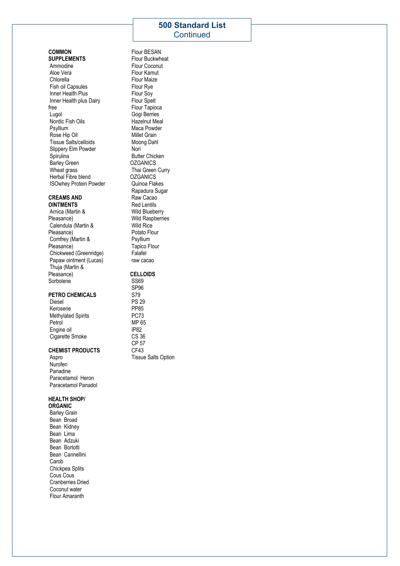**Continued** 

#### **COMMON SUPPLEMENTS**

 Ammodine Aloe Vera Chlorella Fish oil Capsules Inner Health Plus Inner Health plus Dairy free Lugol Nordic Fish Oils Psyllium Rose Hip Oil Tissue Salts/celloids Slippery Elm Powder **Spirulina**  Barley Green Wheat grass Herbal Fibre blend ISOwhey Protein Powder

#### **CREAMS AND OINTMENTS**

 Arnica (Martin & Pleasance) Calendula (Martin & Pleasance) Comfrey (Martin & Pleasance) Chickweed (Greenridge) Papaw ointment (Lucas) Thuja (Martin & Pleasance) Sorbolene

#### **PETRO CHEMICALS**

 Diesel Kerosene Methylated Spirits Petrol Engine oil Cigarette Smoke

#### **CHEMIST PRODUCTS**

 Aspro Nurofen Panadine Paracetamol Heron Paracetamol Panadol

#### **HEALTH SHOP/**

**ORGANIC** Barley Grain Bean Broad Bean Kidney Bean Lima Bean Adzuki Bean Borlotti Bean Cannellini Carob Chickpea Splits Cous Cous Cranberries Dried Coconut water Flour Amaranth

 Flour BESAN Flour Buckwheat Flour Coconut Flour Kamut Flour Maize Flour Rye Flour Soy Flour Spelt Flour Tapioca Gogi Berries Hazelnut Meal Maca Powder Millet Grain Moong Dahl Nori Butter Chicken **OZGANICS**  Thai Green Curry **OZGANICS**  Quinoa Flakes Rapadura Sugar Raw Cacao Red Lentils Wild Blueberry Wild Raspberries Wild Rice Potato Flour Psyllium Tapico Flour Falafel raw cacao **CELLOIDS** SS69 SP96 S79 PS 29 PP85 PC73

 MP 65 IP82 CS 36 CP 57 CF43

Tissue Salts Option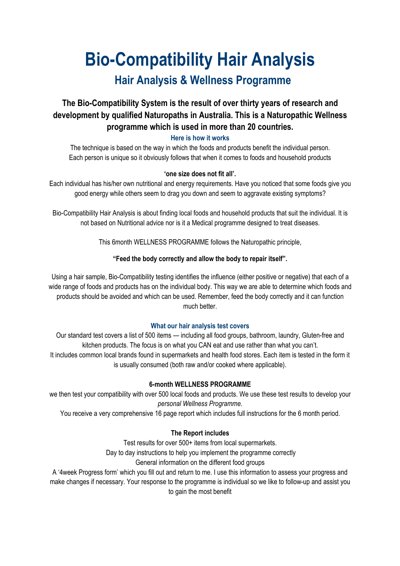# **Bio-Compatibility Hair Analysis**

## **Hair Analysis & Wellness Programme**

### **The Bio-Compatibility System is the result of over thirty years of research and development by qualified Naturopaths in Australia. This is a Naturopathic Wellness programme which is used in more than 20 countries.**

### **Here is how it works**

The technique is based on the way in which the foods and products benefit the individual person. Each person is unique so it obviously follows that when it comes to foods and household products

### **'one size does not fit all'.**

Each individual has his/her own nutritional and energy requirements. Have you noticed that some foods give you good energy while others seem to drag you down and seem to aggravate existing symptoms?

Bio-Compatibility Hair Analysis is about finding local foods and household products that suit the individual. It is not based on Nutritional advice nor is it a Medical programme designed to treat diseases.

This 6month WELLNESS PROGRAMME follows the Naturopathic principle,

### **"Feed the body correctly and allow the body to repair itself".**

Using a hair sample, Bio-Compatibility testing identifies the influence (either positive or negative) that each of a wide range of foods and products has on the individual body. This way we are able to determine which foods and products should be avoided and which can be used. Remember, feed the body correctly and it can function much better.

#### **What our hair analysis test covers**

Our standard test covers a list of 500 items — including all food groups, bathroom, laundry, Gluten-free and kitchen products. The focus is on what you CAN eat and use rather than what you can't. It includes common local brands found in supermarkets and health food stores. Each item is tested in the form it is usually consumed (both raw and/or cooked where applicable).

#### **6-month WELLNESS PROGRAMME**

we then test your compatibility with over 500 local foods and products. We use these test results to develop your *personal Wellness Programme*.

You receive a very comprehensive 16 page report which includes full instructions for the 6 month period.

#### **The Report includes**

Test results for over 500+ items from local supermarkets. Day to day instructions to help you implement the programme correctly

General information on the different food groups

A '4week Progress form' which you fill out and return to me. I use this information to assess your progress and make changes if necessary. Your response to the programme is individual so we like to follow-up and assist you to gain the most benefit